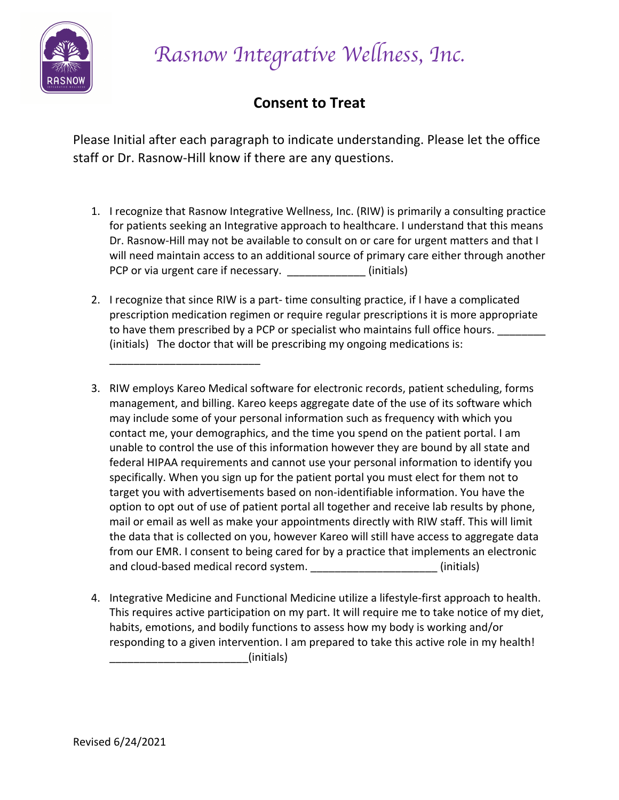

*Rasnow Integrative Wellness, Inc.* 

# **Consent to Treat**

Please Initial after each paragraph to indicate understanding. Please let the office staff or Dr. Rasnow-Hill know if there are any questions.

- 1. I recognize that Rasnow Integrative Wellness, Inc. (RIW) is primarily a consulting practice for patients seeking an Integrative approach to healthcare. I understand that this means Dr. Rasnow-Hill may not be available to consult on or care for urgent matters and that I will need maintain access to an additional source of primary care either through another PCP or via urgent care if necessary. The same state (initials)
- 2. I recognize that since RIW is a part- time consulting practice, if I have a complicated prescription medication regimen or require regular prescriptions it is more appropriate to have them prescribed by a PCP or specialist who maintains full office hours. (initials) The doctor that will be prescribing my ongoing medications is:

\_\_\_\_\_\_\_\_\_\_\_\_\_\_\_\_\_\_\_\_\_\_\_\_\_

- 3. RIW employs Kareo Medical software for electronic records, patient scheduling, forms management, and billing. Kareo keeps aggregate date of the use of its software which may include some of your personal information such as frequency with which you contact me, your demographics, and the time you spend on the patient portal. I am unable to control the use of this information however they are bound by all state and federal HIPAA requirements and cannot use your personal information to identify you specifically. When you sign up for the patient portal you must elect for them not to target you with advertisements based on non-identifiable information. You have the option to opt out of use of patient portal all together and receive lab results by phone, mail or email as well as make your appointments directly with RIW staff. This will limit the data that is collected on you, however Kareo will still have access to aggregate data from our EMR. I consent to being cared for by a practice that implements an electronic and cloud-based medical record system. \_\_\_\_\_\_\_\_\_\_\_\_\_\_\_\_\_\_\_\_\_\_\_\_(initials)
- 4. Integrative Medicine and Functional Medicine utilize a lifestyle-first approach to health. This requires active participation on my part. It will require me to take notice of my diet, habits, emotions, and bodily functions to assess how my body is working and/or responding to a given intervention. I am prepared to take this active role in my health! \_\_\_\_\_\_\_\_\_\_\_\_\_\_\_\_\_\_\_\_\_\_\_(initials)